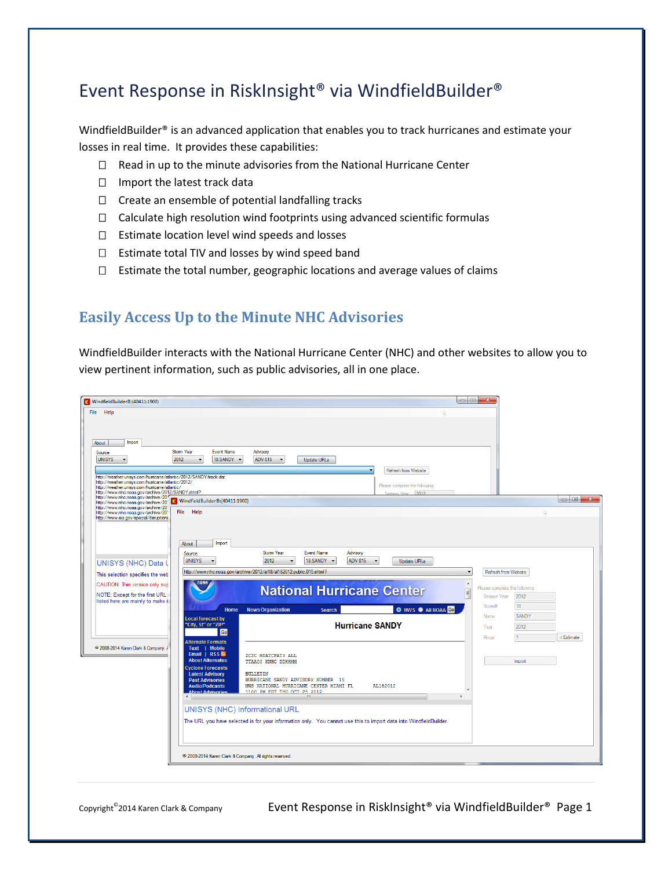# Event Response in RiskInsight® via WindfieldBuilder®

WindfieldBuilder<sup>®</sup> is an advanced application that enables you to track hurricanes and estimate your losses in real time. It provides these capabilities:

- $\Box$  Read in up to the minute advisories from the National Hurricane Center
- $\Box$  Import the latest track data
- $\Box$  Create an ensemble of potential landfalling tracks
- □ Calculate high resolution wind footprints using advanced scientific formulas
- $\square$  Estimate location level wind speeds and losses
- $\square$  Estimate total TIV and losses by wind speed band
- $\Box$  Estimate the total number, geographic locations and average values of claims

#### **Easily Access Up to the Minute NHC Advisories**

WindfieldBuilder interacts with the National Hurricane Center (NHC) and other websites to allow you to view pertinent information, such as public advisories, all in one place.

| File<br>Help                                                                                                                                                       |                                                                                                                   |                                                       |                                    |                                                                                                                                                                                                                                                                                                                                                                                                                                                      |
|--------------------------------------------------------------------------------------------------------------------------------------------------------------------|-------------------------------------------------------------------------------------------------------------------|-------------------------------------------------------|------------------------------------|------------------------------------------------------------------------------------------------------------------------------------------------------------------------------------------------------------------------------------------------------------------------------------------------------------------------------------------------------------------------------------------------------------------------------------------------------|
|                                                                                                                                                                    |                                                                                                                   |                                                       |                                    |                                                                                                                                                                                                                                                                                                                                                                                                                                                      |
|                                                                                                                                                                    |                                                                                                                   |                                                       |                                    |                                                                                                                                                                                                                                                                                                                                                                                                                                                      |
| Import<br>About                                                                                                                                                    |                                                                                                                   |                                                       |                                    |                                                                                                                                                                                                                                                                                                                                                                                                                                                      |
| Storm Year<br>Source<br><b>UNISYS</b><br>2012<br>$\cdot$                                                                                                           | <b>Event Name</b><br>Advisory<br>18:SANDY -<br>ADV 015<br>Update URLs<br>$\overline{\phantom{a}}$                 |                                                       |                                    |                                                                                                                                                                                                                                                                                                                                                                                                                                                      |
|                                                                                                                                                                    |                                                                                                                   | Refresh from Website                                  |                                    |                                                                                                                                                                                                                                                                                                                                                                                                                                                      |
| http://weather.unisys.com/humcane/atlantic/2012/SANDY/track.dat                                                                                                    |                                                                                                                   |                                                       |                                    |                                                                                                                                                                                                                                                                                                                                                                                                                                                      |
| http://weather.unisys.com/hunicane/atlantic/2012/<br>http://weather.unisys.com/hunicane/atlantic/                                                                  |                                                                                                                   | Please complete the following                         |                                    |                                                                                                                                                                                                                                                                                                                                                                                                                                                      |
| http://www.nhc.noaa.gov/archive/2012/SANDY.shtml?<br>http://www.nhc.noaa.gov/archive/2011<br>http://www.nhc.noaa.gov/archive/201<br>MindfieldBuilder®:(40411:1900) |                                                                                                                   | Season Year 2012                                      |                                    | $\begin{array}{c c c c c c} \hline \multicolumn{3}{c }{\multicolumn{3}{c }{\multicolumn{3}{c }{\multicolumn{3}{c }{\multicolumn{3}{c }{\multicolumn{3}{c }{\multicolumn{3}{c }{\multicolumn{3}{c }{\multicolumn{3}{c }{\multicolumn{3}{c }{\multicolumn{3}{c }{\multicolumn{3}{c }{\multicolumn{3}{c }{\multicolumn{3}{c }{\multicolumn{3}{c }{\multicolumn{3}{c }{\multicolumn{3}{c }{\multicolumn{3}{c }{\multicolumn{3}{c }{\multicolumn{3}{c }{$ |
| http://www.nhc.noaa.gov/archive/201<br>File Help                                                                                                                   |                                                                                                                   |                                                       |                                    |                                                                                                                                                                                                                                                                                                                                                                                                                                                      |
| http://www.nhc.noaa.gov/archive/201<br>http://www.eia.gov/special/disruptions                                                                                      |                                                                                                                   |                                                       |                                    |                                                                                                                                                                                                                                                                                                                                                                                                                                                      |
|                                                                                                                                                                    |                                                                                                                   |                                                       |                                    |                                                                                                                                                                                                                                                                                                                                                                                                                                                      |
|                                                                                                                                                                    | Import                                                                                                            |                                                       |                                    |                                                                                                                                                                                                                                                                                                                                                                                                                                                      |
| About                                                                                                                                                              | Stom Year<br><b>Event Name</b>                                                                                    | Advisory                                              |                                    |                                                                                                                                                                                                                                                                                                                                                                                                                                                      |
| Source<br><b>UNISYS</b><br>$\blacktriangledown$                                                                                                                    | 2012<br>18:SANDY -                                                                                                | ADV 015<br><b>Update URLs</b><br>$\blacktriangledown$ |                                    |                                                                                                                                                                                                                                                                                                                                                                                                                                                      |
| <b>UNISYS (NHC) Data</b>                                                                                                                                           | http://www.nhc.noaa.gov/archive/2012/al18/al182012.public.015.shtml?                                              |                                                       | Refresh from Website               |                                                                                                                                                                                                                                                                                                                                                                                                                                                      |
| This selection specifies the web                                                                                                                                   |                                                                                                                   |                                                       |                                    |                                                                                                                                                                                                                                                                                                                                                                                                                                                      |
| CAUTION: This version only sup                                                                                                                                     |                                                                                                                   | <b>National Hurricane Center</b>                      | Please complete the following<br>E |                                                                                                                                                                                                                                                                                                                                                                                                                                                      |
| NOTE: Except for the first URL<br>listed here are mainly to make it                                                                                                |                                                                                                                   |                                                       | 2012<br>Season Year                |                                                                                                                                                                                                                                                                                                                                                                                                                                                      |
|                                                                                                                                                                    | <b>Home</b><br><b>News Organization</b><br><b>Search</b>                                                          | O NWS O AII NOAA GO                                   | 18<br>Storm#                       |                                                                                                                                                                                                                                                                                                                                                                                                                                                      |
| <b>Local forecast by</b><br>"City, St" or "ZIP"                                                                                                                    |                                                                                                                   | <b>Hurricane SANDY</b>                                | SANDY<br>Name                      |                                                                                                                                                                                                                                                                                                                                                                                                                                                      |
|                                                                                                                                                                    | Go                                                                                                                |                                                       | 2012<br>Year                       |                                                                                                                                                                                                                                                                                                                                                                                                                                                      |
| <b>Alternate Formats</b>                                                                                                                                           |                                                                                                                   |                                                       | Rmax                               | < Estimate                                                                                                                                                                                                                                                                                                                                                                                                                                           |
| 2008-2014 Karen Clark & Company.<br>Text   Mobile<br>Email   RSS $\mathbb{N}$                                                                                      | ZCZC MIATCPAT3 ALL                                                                                                |                                                       |                                    |                                                                                                                                                                                                                                                                                                                                                                                                                                                      |
| <b>About Alternates</b>                                                                                                                                            | TTAA00 KNHC DDHHMM                                                                                                |                                                       | Import                             |                                                                                                                                                                                                                                                                                                                                                                                                                                                      |
| <b>Cyclone Forecasts</b><br><b>Latest Advisory</b>                                                                                                                 | <b>BULLETIN</b>                                                                                                   |                                                       |                                    |                                                                                                                                                                                                                                                                                                                                                                                                                                                      |
| <b>Past Advisories</b><br><b>Audio/Podcasts</b>                                                                                                                    | HURRICANE SANDY ADVISORY NUMBER 15<br>NWS NATIONAL HURRICANE CENTER MIAMI FL                                      | AL182012                                              |                                    |                                                                                                                                                                                                                                                                                                                                                                                                                                                      |
| <b>About Advisories</b>                                                                                                                                            | 1100 PM EDT THIT OCT 25 2012<br>-m                                                                                |                                                       |                                    |                                                                                                                                                                                                                                                                                                                                                                                                                                                      |
|                                                                                                                                                                    |                                                                                                                   |                                                       |                                    |                                                                                                                                                                                                                                                                                                                                                                                                                                                      |
|                                                                                                                                                                    | <b>UNISYS (NHC) Informational URL</b>                                                                             |                                                       |                                    |                                                                                                                                                                                                                                                                                                                                                                                                                                                      |
|                                                                                                                                                                    | The URL you have selected is for your information only. You cannot use this to import data into WindfieldBuilder. |                                                       |                                    |                                                                                                                                                                                                                                                                                                                                                                                                                                                      |
|                                                                                                                                                                    |                                                                                                                   |                                                       |                                    |                                                                                                                                                                                                                                                                                                                                                                                                                                                      |
|                                                                                                                                                                    |                                                                                                                   |                                                       |                                    |                                                                                                                                                                                                                                                                                                                                                                                                                                                      |
|                                                                                                                                                                    |                                                                                                                   |                                                       |                                    |                                                                                                                                                                                                                                                                                                                                                                                                                                                      |

Copyright<sup>®</sup>2014 Karen Clark & Company **Event Response in RiskInsight<sup>®</sup> via WindfieldBuilder<sup>®</sup> Page 1**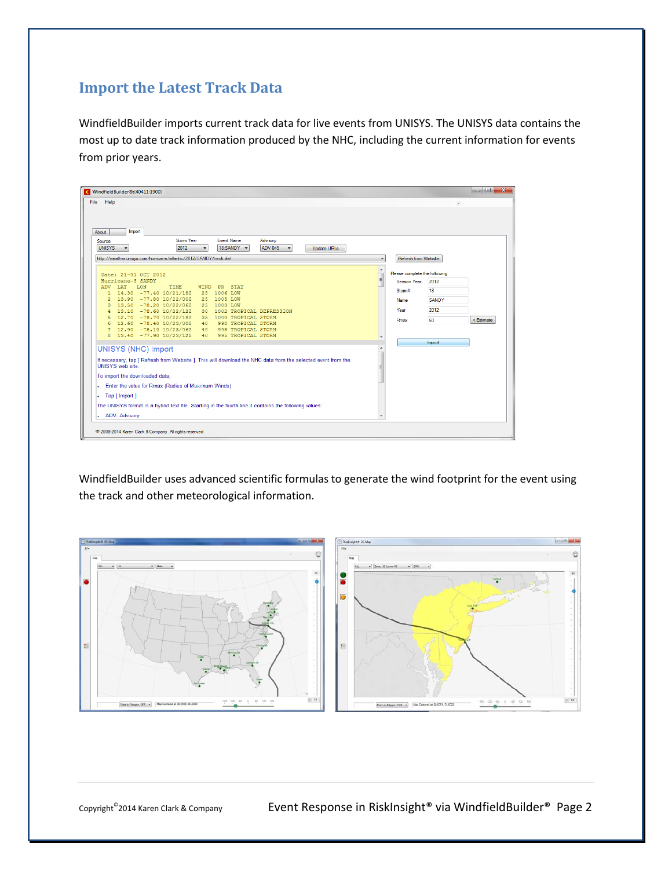## **Import the Latest Track Data**

WindfieldBuilder imports current track data for live events from UNISYS. The UNISYS data contains the most up to date track information produced by the NHC, including the current information for events from prior years.

| File<br>Help                                                                                                                            |                   |                                                 |                            |                    |                                                                |                               |        |            |
|-----------------------------------------------------------------------------------------------------------------------------------------|-------------------|-------------------------------------------------|----------------------------|--------------------|----------------------------------------------------------------|-------------------------------|--------|------------|
|                                                                                                                                         |                   |                                                 |                            |                    |                                                                |                               |        |            |
|                                                                                                                                         |                   |                                                 |                            |                    |                                                                |                               |        |            |
| Import<br>About                                                                                                                         |                   |                                                 |                            |                    |                                                                |                               |        |            |
| Source<br><b>UNISYS</b>                                                                                                                 | Stom Year<br>2012 | <b>Event Name</b><br>18:SANDY                   | Advisory<br><b>ADV 045</b> | <b>Update URLs</b> |                                                                |                               |        |            |
| http://weather.unisys.com/humicane/atlantic/2012/SANDY/track.dat                                                                        |                   |                                                 |                            |                    | ۰                                                              | Refresh from Website          |        |            |
|                                                                                                                                         |                   |                                                 |                            |                    |                                                                |                               |        |            |
| Date: 21-31 OCT 2012                                                                                                                    |                   |                                                 |                            |                    | $\begin{array}{c}\n\bullet \\ \bullet \\ \bullet\n\end{array}$ | Please complete the following |        |            |
| Hurricane-3 SANDY                                                                                                                       |                   |                                                 |                            |                    |                                                                | Season Year                   | 2012   |            |
| TIME<br>LAT<br><b>LON</b><br><b>ADV</b><br>14.30 -77.40 10/21/18Z<br>$\mathbf{1}$                                                       | <b>WIND</b><br>25 | <b>PR</b><br><b>STAT</b><br>1006 LOW            |                            |                    |                                                                | Storm#                        | 18     |            |
| 13.90 -77.80 10/22/00Z<br>$\overline{z}$                                                                                                | 25                | 1005 LOW                                        |                            |                    |                                                                | <b>Name</b>                   | SANDY  |            |
| 13.50 -78.20 10/22/06Z<br>3                                                                                                             | 25                | 1003 LOW                                        |                            |                    |                                                                | Year                          | 2012   |            |
| $13.10 - 78.60 10/22/122$<br>4<br>$12.70 - 78.70 10/22/182$<br>5                                                                        | 30<br>35          | 1002 TROPICAL DEPRESSION<br>1000 TROPICAL STORM |                            |                    |                                                                |                               |        |            |
| 12.60 -78.40 10/23/00Z<br>6                                                                                                             | 40                | 998 TROPICAL STORM                              |                            |                    |                                                                | Rmax                          | 60     | < Estimate |
| 12.90 -78.10 10/23/06Z<br>$\overline{7}$                                                                                                | 40                | 998 TROPICAL STORM                              |                            |                    |                                                                |                               |        |            |
| 13.40 -77.90 10/23/12Z<br>8                                                                                                             | $-40$             | 995 TROPICAL STORM                              |                            |                    |                                                                |                               |        |            |
| <b>UNISYS (NHC) Import</b>                                                                                                              |                   |                                                 |                            |                    |                                                                |                               | Import |            |
|                                                                                                                                         |                   |                                                 |                            |                    |                                                                |                               |        |            |
| If necessary, tap [ Refresh from Website ]. This will download the NHC data from the selected event from the<br><b>UNISYS</b> web site. |                   |                                                 |                            |                    |                                                                |                               |        |            |
|                                                                                                                                         |                   |                                                 |                            |                    |                                                                |                               |        |            |
| To import the downloaded data,                                                                                                          |                   |                                                 |                            |                    |                                                                |                               |        |            |
| Enter the value for Rmax (Radius of Maximum Winds)                                                                                      |                   |                                                 |                            |                    |                                                                |                               |        |            |
| Tap [ Import ]<br>×                                                                                                                     |                   |                                                 |                            |                    |                                                                |                               |        |            |
| The UNISYS format is a hybrid text file. Starting in the fourth line it contains the following values:                                  |                   |                                                 |                            |                    |                                                                |                               |        |            |
| <b>ADV: Advisory</b><br>×.                                                                                                              |                   |                                                 |                            |                    | ۰                                                              |                               |        |            |
|                                                                                                                                         |                   |                                                 |                            |                    |                                                                |                               |        |            |

WindfieldBuilder uses advanced scientific formulas to generate the wind footprint for the event using the track and other meteorological information.

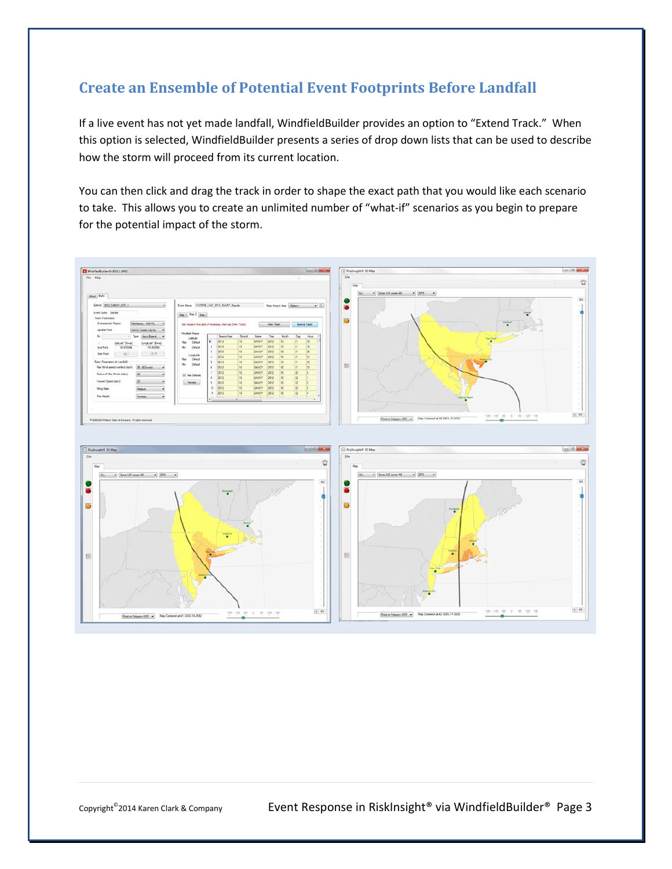## **Create an Ensemble of Potential Event Footprints Before Landfall**

If a live event has not yet made landfall, WindfieldBuilder provides an option to "Extend Track." When this option is selected, WindfieldBuilder presents a series of drop down lists that can be used to describe how the storm will proceed from its current location.

You can then click and drag the track in order to shape the exact path that you would like each scenario to take. This allows you to create an unlimited number of "what-if" scenarios as you begin to prepare for the potential impact of the storm.



Copyright<sup>®</sup>2014 Karen Clark & Company **Event Response in RiskInsight<sup>®</sup> via WindfieldBuilder<sup>®</sup> Page 3**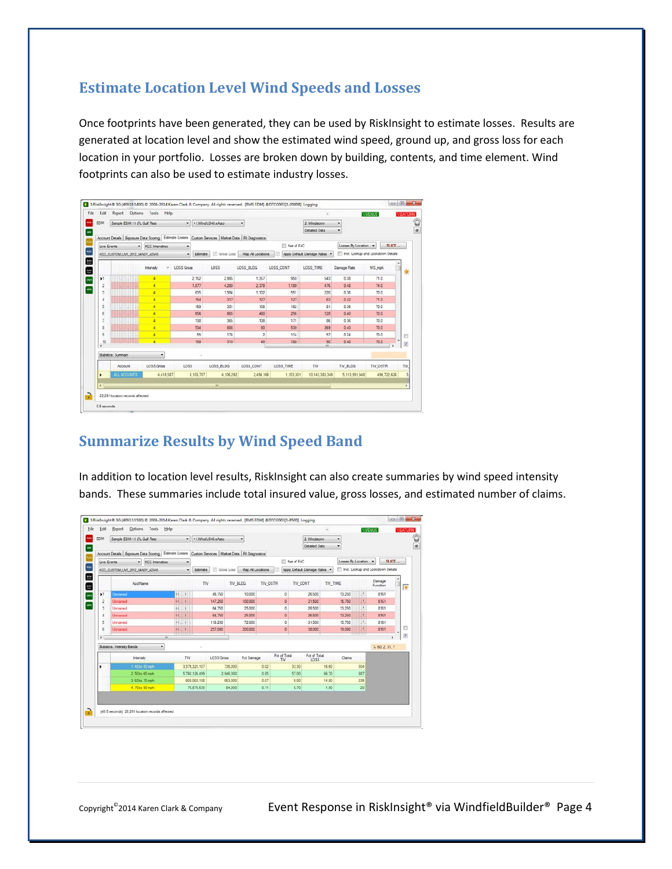#### **Estimate Location Level Wind Speeds and Losses**

Once footprints have been generated, they can be used by RiskInsight to estimate losses. Results are generated at location level and show the estimated wind speed, ground up, and gross loss for each location in your portfolio. Losses are broken down by building, contents, and time element. Wind footprints can also be used to estimate industry losses.

|                                                 |                                                                                                          |                      |            |                       |              |                  |            |                            |                      | <b>WENUS</b><br><b><i>INSATURN</i></b> |                          |
|-------------------------------------------------|----------------------------------------------------------------------------------------------------------|----------------------|------------|-----------------------|--------------|------------------|------------|----------------------------|----------------------|----------------------------------------|--------------------------|
| Sample EDM 11 (FL Gulf Res)<br><b>EDM</b><br>۰ı |                                                                                                          |                      |            | -1.WindUS48xAuto<br>٠ |              |                  |            | 2. Windstom                | ٠                    |                                        |                          |
|                                                 | Account Details   Exposure Data Scomg   Estimate Losses   Custom Services   Market Data   Ri Diagnostics |                      |            |                       |              |                  |            | Detailed Data              | ۰                    |                                        |                          |
|                                                 | Live Events                                                                                              | - KCC intensities    | ٠          |                       |              |                  | Net of FAC |                            | Losses By Location v | SLICE-                                 |                          |
|                                                 | KCC_CUSTOM_LIVE_2012_SANDY_ADV45                                                                         |                      | ۰          | Estimate              | V Gross Loss | Map Al Locations |            | Apply Default Damage Rates |                      | Incl. Lookup and Lookdown Details      |                          |
|                                                 |                                                                                                          |                      |            |                       |              |                  |            |                            |                      |                                        |                          |
|                                                 |                                                                                                          | Intensity            | LOSS Gross |                       | LOSS         | LOSS BLDG        | LOSS CONT  | LOSS TIME                  | Damage Rate          | WS mph                                 | 寨                        |
| k1                                              |                                                                                                          | ×                    |            | 2.152                 | 2.985        | 1.357            | 950        | 543                        | 0.38                 | 71.0                                   |                          |
| $\overline{2}$                                  |                                                                                                          | ×                    |            | 1.877                 | 4,280        | 2.378            | 1,129      | 476                        | 0.48                 | 74.0                                   |                          |
| $\overline{3}$                                  |                                                                                                          | $\overline{4}$       |            | 635                   | 1.984        | 1.102            | 551        | 220                        | 0.36                 | 70.0                                   |                          |
| 4                                               |                                                                                                          | ¥                    |            | 154                   | 317          | 127              | 127        | 63                         | 0.42                 | 71.0                                   |                          |
| 5                                               |                                                                                                          | 4                    |            | 169                   | 351          | 108              | 162        | 81                         | 0.36                 | 70.0                                   |                          |
| 6                                               |                                                                                                          | $\blacktriangleleft$ |            | 655                   | 865          | 480              | 256        | 128                        | 0.40                 | 70.0                                   |                          |
| $\overline{ }$                                  |                                                                                                          | ¥.                   |            | 138                   | 365          | 108              | 171        | 86                         | 0.36                 | 70.0                                   |                          |
| $\bar{8}$                                       |                                                                                                          | ×                    |            | 534                   | 888          | 80               | 539        | 269                        | 0.40                 | 70.0                                   |                          |
| 9                                               |                                                                                                          | 4                    |            | 55                    | 174          | $\overline{z}$   | 114        | 57                         | 0.24                 | 70.0                                   | m                        |
| 10<br>$\epsilon$                                |                                                                                                          | Ŧ                    |            | 158                   | 310          | 40               | 180        | 50<br>in.                  | 0.40                 | 70.0                                   | $\overline{\mathcal{L}}$ |
|                                                 | Statistics: Summary                                                                                      | ٠                    |            |                       |              |                  |            |                            |                      |                                        |                          |
|                                                 | Account                                                                                                  | <b>LOSS</b> Gross    | LOSS       |                       | LOSS_BLDG    | LOSS_CONT        | LOSS_TIME  | TIV                        | TIV_BLDG             | TIV_OSTR                               | TIV.                     |
| ٠                                               | ALL ACOUNTS                                                                                              | 4,418,587            |            | 8,103,787             | 4,106,292    | 2,496,166        | 1,103,301  | 10.143.383.349             | 5,113,991,948        | 496,722,626                            | 3 <sub>1</sub>           |
| ×                                               |                                                                                                          |                      |            |                       | m            |                  |            |                            |                      |                                        |                          |

## **Summarize Results by Wind Speed Band**

In addition to location level results, RiskInsight can also create summaries by wind speed intensity bands. These summaries include total insured value, gross losses, and estimated number of claims.